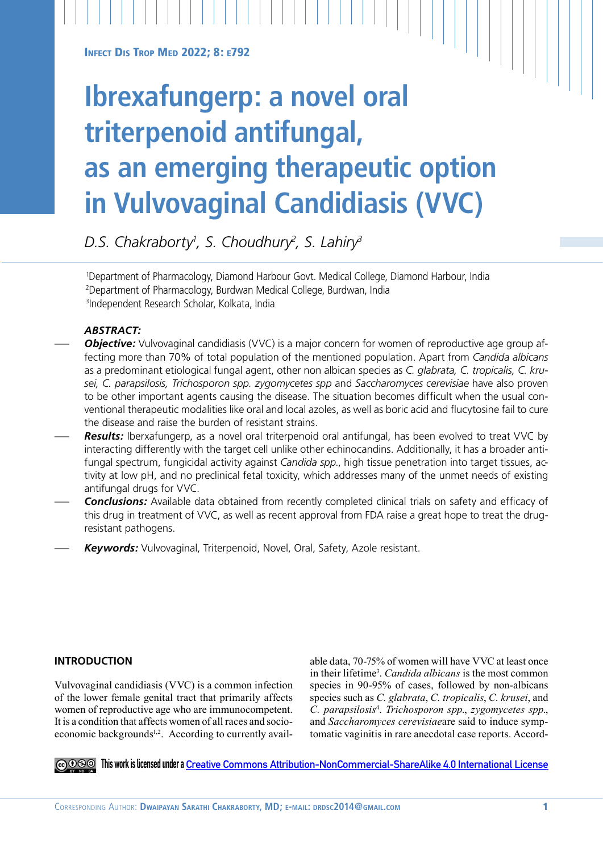**INFECT DIS TROP MED 2022: 8: E792** 

# **Ibrexafungerp: a novel oral triterpenoid antifungal, as an emerging therapeutic option in Vulvovaginal Candidiasis (VVC)**

*D.S. Chakraborty1 , S. Choudhury2 , S. Lahiry3*

1 Department of Pharmacology, Diamond Harbour Govt. Medical College, Diamond Harbour, India 2 Department of Pharmacology, Burdwan Medical College, Burdwan, India 3Independent Research Scholar, Kolkata, India

## *ABSTRACT:*

- **Objective:** Vulvovaginal candidiasis (VVC) is a major concern for women of reproductive age group affecting more than 70% of total population of the mentioned population. Apart from *Candida albicans*  as a predominant etiological fungal agent, other non albican species as *C. glabrata, C. tropicalis, C. krusei, C. parapsilosis, Trichosporon spp. zygomycetes spp* and *Saccharomyces cerevisiae* have also proven to be other important agents causing the disease. The situation becomes difficult when the usual conventional therapeutic modalities like oral and local azoles, as well as boric acid and flucytosine fail to cure the disease and raise the burden of resistant strains.
- Results: Iberxafungerp, as a novel oral triterpenoid oral antifungal, has been evolved to treat VVC by interacting differently with the target cell unlike other echinocandins. Additionally, it has a broader antifungal spectrum, fungicidal activity against *Candida spp*., high tissue penetration into target tissues, activity at low pH, and no preclinical fetal toxicity, which addresses many of the unmet needs of existing antifungal drugs for VVC.
- *Conclusions:* Available data obtained from recently completed clinical trials on safety and efficacy of this drug in treatment of VVC, as well as recent approval from FDA raise a great hope to treat the drugresistant pathogens.
- Keywords: Vulvovaginal, Triterpenoid, Novel, Oral, Safety, Azole resistant.

## **INTRODUCTION**

Vulvovaginal candidiasis (VVC) is a common infection of the lower female genital tract that primarily affects women of reproductive age who are immunocompetent. It is a condition that affects women of all races and socioeconomic backgrounds<sup>1,2</sup>. According to currently available data, 70-75% of women will have VVC at least once in their lifetime<sup>3</sup>. *Candida albicans* is the most common species in 90-95% of cases, followed by non-albicans species such as *C. glabrata*, *C. tropicalis*, *C. krusei*, and *C. parapsilosis*<sup>4</sup> . *Trichosporon spp*., *zygomycetes spp*., and *Saccharomyces cerevisiae*are said to induce symptomatic vaginitis in rare anecdotal case reports. Accord-

**This work is licensed under a [Creative Commons Attribution-NonCommercial-ShareAlike 4.0 International License](https://creativecommons.org/licenses/by-nc-sa/4.0/)**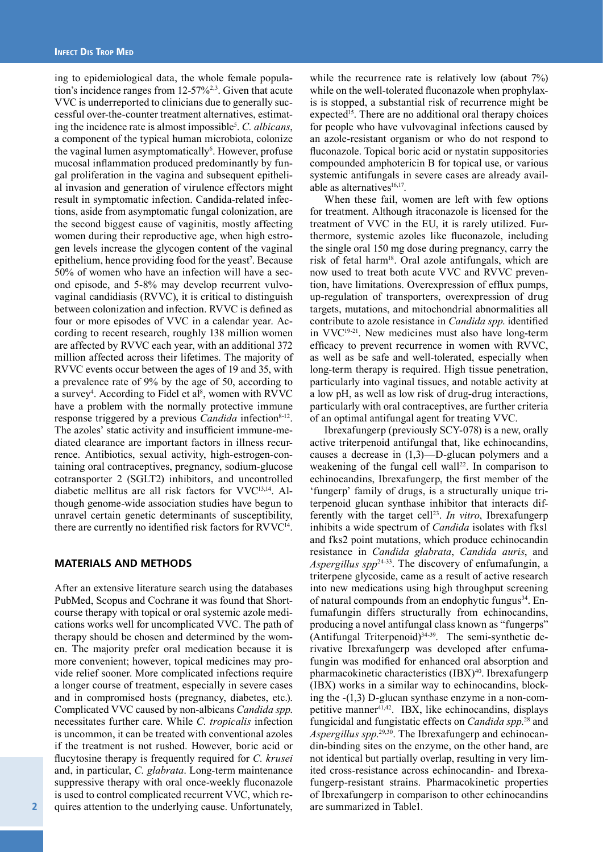ing to epidemiological data, the whole female population's incidence ranges from  $12-57\%^{2,3}$ . Given that acute VVC is underreported to clinicians due to generally successful over-the-counter treatment alternatives, estimating the incidence rate is almost impossible<sup>5</sup>. C. albicans, a component of the typical human microbiota, colonize the vaginal lumen asymptomatically<sup>6</sup>. However, profuse mucosal inflammation produced predominantly by fungal proliferation in the vagina and subsequent epithelial invasion and generation of virulence effectors might result in symptomatic infection. Candida-related infections, aside from asymptomatic fungal colonization, are the second biggest cause of vaginitis, mostly affecting women during their reproductive age, when high estrogen levels increase the glycogen content of the vaginal epithelium, hence providing food for the yeast<sup>7</sup>. Because 50% of women who have an infection will have a second episode, and 5-8% may develop recurrent vulvovaginal candidiasis (RVVC), it is critical to distinguish between colonization and infection. RVVC is defined as four or more episodes of VVC in a calendar year. According to recent research, roughly 138 million women are affected by RVVC each year, with an additional 372 million affected across their lifetimes. The majority of RVVC events occur between the ages of 19 and 35, with a prevalence rate of 9% by the age of 50, according to a survey<sup>4</sup>. According to Fidel et al<sup>8</sup>, women with RVVC have a problem with the normally protective immune response triggered by a previous *Candida* infection<sup>8-12</sup>. The azoles' static activity and insufficient immune-mediated clearance are important factors in illness recurrence. Antibiotics, sexual activity, high-estrogen-containing oral contraceptives, pregnancy, sodium-glucose cotransporter 2 (SGLT2) inhibitors, and uncontrolled diabetic mellitus are all risk factors for VVC13,14. Although genome-wide association studies have begun to unravel certain genetic determinants of susceptibility, there are currently no identified risk factors for RVVC<sup>14</sup>.

### **MATERIALS AND METHODS**

After an extensive literature search using the databases PubMed, Scopus and Cochrane it was found that Shortcourse therapy with topical or oral systemic azole medications works well for uncomplicated VVC. The path of therapy should be chosen and determined by the women. The majority prefer oral medication because it is more convenient; however, topical medicines may provide relief sooner. More complicated infections require a longer course of treatment, especially in severe cases and in compromised hosts (pregnancy, diabetes, etc.). Complicated VVC caused by non-albicans *Candida spp*. necessitates further care. While *C. tropicalis* infection is uncommon, it can be treated with conventional azoles if the treatment is not rushed. However, boric acid or flucytosine therapy is frequently required for *C. krusei* and, in particular, *C. glabrata*. Long-term maintenance suppressive therapy with oral once-weekly fluconazole is used to control complicated recurrent VVC, which requires attention to the underlying cause. Unfortunately, while the recurrence rate is relatively low (about 7%) while on the well-tolerated fluconazole when prophylaxis is stopped, a substantial risk of recurrence might be expected<sup>15</sup>. There are no additional oral therapy choices for people who have vulvovaginal infections caused by an azole-resistant organism or who do not respond to fluconazole. Topical boric acid or nystatin suppositories compounded amphotericin B for topical use, or various systemic antifungals in severe cases are already available as alternatives $16,17$ .

When these fail, women are left with few options for treatment. Although itraconazole is licensed for the treatment of VVC in the EU, it is rarely utilized. Furthermore, systemic azoles like fluconazole, including the single oral 150 mg dose during pregnancy, carry the risk of fetal harm18. Oral azole antifungals, which are now used to treat both acute VVC and RVVC prevention, have limitations. Overexpression of efflux pumps, up-regulation of transporters, overexpression of drug targets, mutations, and mitochondrial abnormalities all contribute to azole resistance in *Candida spp*. identified in VVC19-21. New medicines must also have long-term efficacy to prevent recurrence in women with RVVC, as well as be safe and well-tolerated, especially when long-term therapy is required. High tissue penetration, particularly into vaginal tissues, and notable activity at a low pH, as well as low risk of drug-drug interactions, particularly with oral contraceptives, are further criteria of an optimal antifungal agent for treating VVC.

Ibrexafungerp (previously SCY-078) is a new, orally active triterpenoid antifungal that, like echinocandins, causes a decrease in (1,3)—D-glucan polymers and a weakening of the fungal cell wall<sup>22</sup>. In comparison to echinocandins, Ibrexafungerp, the first member of the 'fungerp' family of drugs, is a structurally unique triterpenoid glucan synthase inhibitor that interacts differently with the target cell<sup>23</sup>. *In vitro*, Ibrexafungerp inhibits a wide spectrum of *Candida* isolates with fks1 and fks2 point mutations, which produce echinocandin resistance in *Candida glabrata*, *Candida auris*, and *Aspergillus spp*24-33. The discovery of enfumafungin, a triterpene glycoside, came as a result of active research into new medications using high throughput screening of natural compounds from an endophytic fungus<sup>34</sup>. Enfumafungin differs structurally from echinocandins, producing a novel antifungal class known as "fungerps"  $(Antifungal Triterpenoid)<sup>34-39</sup>$ . The semi-synthetic derivative Ibrexafungerp was developed after enfumafungin was modified for enhanced oral absorption and pharmacokinetic characteristics  $(IBX)^{40}$ . Ibrexafungerp (IBX) works in a similar way to echinocandins, blocking the -(1,3) D-glucan synthase enzyme in a non-competitive manner<sup>41,42</sup>. IBX, like echinocandins, displays fungicidal and fungistatic effects on *Candida spp*. 28 and *Aspergillus spp*. 29,30. The Ibrexafungerp and echinocandin-binding sites on the enzyme, on the other hand, are not identical but partially overlap, resulting in very limited cross-resistance across echinocandin- and Ibrexafungerp-resistant strains. Pharmacokinetic properties of Ibrexafungerp in comparison to other echinocandins are summarized in Table1.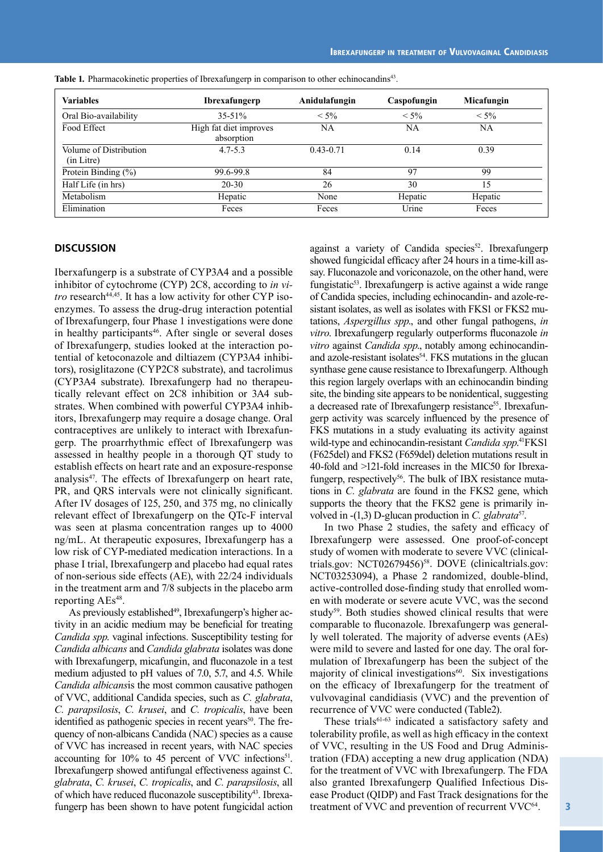| <b>Variables</b>                                    | <b>Ibrexafungerp</b>                 | Anidulafungin |         | Micafungin |  |
|-----------------------------------------------------|--------------------------------------|---------------|---------|------------|--|
| Oral Bio-availability                               | $35 - 51\%$                          | $< 5\%$       | $< 5\%$ | $< 5\%$    |  |
| Food Effect                                         | High fat diet improves<br>absorption | NA            | NA      | NA         |  |
| Volume of Distribution<br>$4.7 - 5.3$<br>(in Litre) |                                      | $0.43 - 0.71$ | 0.14    | 0.39       |  |
| Protein Binding $(\% )$                             | 99.6-99.8                            | 84            | 97      | 99         |  |
| Half Life (in hrs)                                  | $20 - 30$                            | 26            | 30      | 15         |  |
| Metabolism                                          | Hepatic                              | None          | Hepatic | Hepatic    |  |
| Elimination                                         | Feces                                | Feces         | Urine   | Feces      |  |

**Table 1***.* Pharmacokinetic properties of Ibrexafungerp in comparison to other echinocandins43.

#### **DISCUSSION**

Iberxafungerp is a substrate of CYP3A4 and a possible inhibitor of cytochrome (CYP) 2C8, according to *in vitro* research<sup>44,45</sup>. It has a low activity for other CYP isoenzymes. To assess the drug-drug interaction potential of Ibrexafungerp, four Phase 1 investigations were done in healthy participants<sup>46</sup>. After single or several doses of Ibrexafungerp, studies looked at the interaction potential of ketoconazole and diltiazem (CYP3A4 inhibitors), rosiglitazone (CYP2C8 substrate), and tacrolimus (CYP3A4 substrate). Ibrexafungerp had no therapeutically relevant effect on 2C8 inhibition or 3A4 substrates. When combined with powerful CYP3A4 inhibitors, Ibrexafungerp may require a dosage change. Oral contraceptives are unlikely to interact with Ibrexafungerp. The proarrhythmic effect of Ibrexafungerp was assessed in healthy people in a thorough QT study to establish effects on heart rate and an exposure-response analysis $47$ . The effects of Ibrexafungerp on heart rate, PR, and QRS intervals were not clinically significant. After IV dosages of 125, 250, and 375 mg, no clinically relevant effect of Ibrexafungerp on the QTc-F interval was seen at plasma concentration ranges up to 4000 ng/mL. At therapeutic exposures, Ibrexafungerp has a low risk of CYP-mediated medication interactions. In a phase I trial, Ibrexafungerp and placebo had equal rates of non-serious side effects (AE), with 22/24 individuals in the treatment arm and 7/8 subjects in the placebo arm reporting AEs<sup>48</sup>.

As previously established<sup>49</sup>, Ibrexafungerp's higher activity in an acidic medium may be beneficial for treating *Candida spp*. vaginal infections. Susceptibility testing for *Candida albicans* and *Candida glabrata* isolates was done with Ibrexafungerp, micafungin, and fluconazole in a test medium adjusted to pH values of 7.0, 5.7, and 4.5. While *Candida albicans*is the most common causative pathogen of VVC, additional Candida species, such as *C. glabrata*, *C. parapsilosis*, *C. krusei*, and *C. tropicalis*, have been identified as pathogenic species in recent years<sup>50</sup>. The frequency of non-albicans Candida (NAC) species as a cause of VVC has increased in recent years, with NAC species accounting for 10% to 45 percent of VVC infections<sup>51</sup>. Ibrexafungerp showed antifungal effectiveness against C. *glabrata*, *C. krusei*, *C. tropicalis*, and *C. parapsilosis*, all of which have reduced fluconazole susceptibility<sup>43</sup>. Ibrexafungerp has been shown to have potent fungicidal action against a variety of Candida species<sup>52</sup>. Ibrexafungerp showed fungicidal efficacy after 24 hours in a time-kill assay. Fluconazole and voriconazole, on the other hand, were fungistatic<sup>53</sup>. Ibrexafungerp is active against a wide range of Candida species, including echinocandin- and azole-resistant isolates, as well as isolates with FKS1 or FKS2 mutations, *Aspergillus spp*., and other fungal pathogens, *in vitro*. Ibrexafungerp regularly outperforms fluconazole *in vitro* against *Candida spp*., notably among echinocandinand azole-resistant isolates<sup>54</sup>. FKS mutations in the glucan synthase gene cause resistance to Ibrexafungerp. Although this region largely overlaps with an echinocandin binding site, the binding site appears to be nonidentical, suggesting a decreased rate of Ibrexafungerp resistance<sup>55</sup>. Ibrexafungerp activity was scarcely influenced by the presence of FKS mutations in a study evaluating its activity against wild-type and echinocandin-resistant *Candida spp*.<sup>41</sup>FKS1 (F625del) and FKS2 (F659del) deletion mutations result in 40-fold and >121-fold increases in the MIC50 for Ibrexafungerp, respectively<sup>56</sup>. The bulk of IBX resistance mutations in *C. glabrata* are found in the FKS2 gene, which supports the theory that the FKS2 gene is primarily involved in -(1,3) D-glucan production in *C. glabrata*<sup>57</sup>.

In two Phase 2 studies, the safety and efficacy of Ibrexafungerp were assessed. One proof-of-concept study of women with moderate to severe VVC (clinicaltrials.gov: NCT02679456)<sup>58</sup>. DOVE (clinicaltrials.gov: NCT03253094), a Phase 2 randomized, double-blind, active-controlled dose-finding study that enrolled women with moderate or severe acute VVC, was the second study<sup>59</sup>. Both studies showed clinical results that were comparable to fluconazole. Ibrexafungerp was generally well tolerated. The majority of adverse events (AEs) were mild to severe and lasted for one day. The oral formulation of Ibrexafungerp has been the subject of the majority of clinical investigations $60$ . Six investigations on the efficacy of Ibrexafungerp for the treatment of vulvovaginal candidiasis (VVC) and the prevention of recurrence of VVC were conducted (Table2).

These trials<sup>61-63</sup> indicated a satisfactory safety and tolerability profile, as well as high efficacy in the context of VVC, resulting in the US Food and Drug Administration (FDA) accepting a new drug application (NDA) for the treatment of VVC with Ibrexafungerp. The FDA also granted Ibrexafungerp Qualified Infectious Disease Product (QIDP) and Fast Track designations for the treatment of VVC and prevention of recurrent VVC<sup>64</sup>.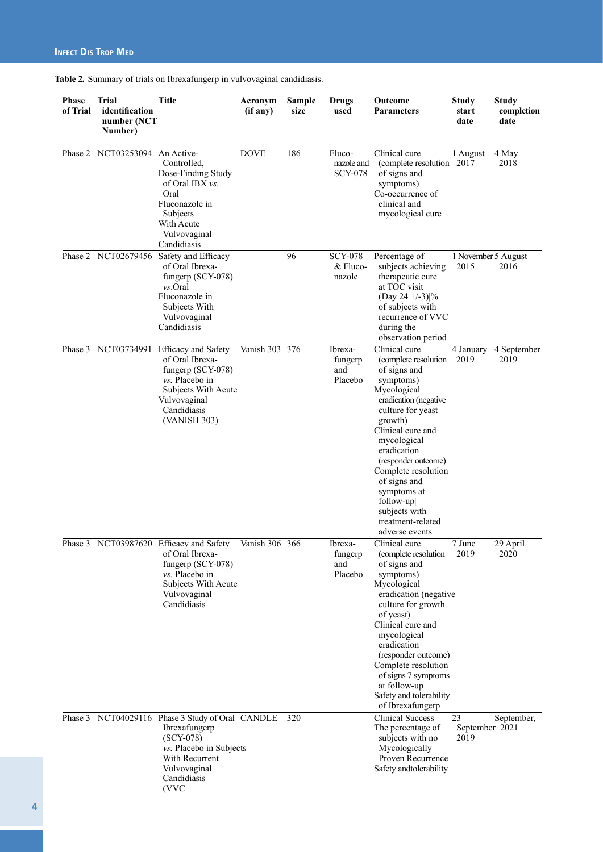| <b>Phase</b><br>of Trial | Trial<br>identification<br>number (NCT<br>Number) | <b>Title</b>                                                                                                                                                         | Acronym<br>(if any) | <b>Sample</b><br>size | <b>Drugs</b><br>used                   | Outcome<br><b>Parameters</b>                                                                                                                                                                                                                                                                                                                     | <b>Study</b><br>start<br>date | <b>Study</b><br>completion<br>date |
|--------------------------|---------------------------------------------------|----------------------------------------------------------------------------------------------------------------------------------------------------------------------|---------------------|-----------------------|----------------------------------------|--------------------------------------------------------------------------------------------------------------------------------------------------------------------------------------------------------------------------------------------------------------------------------------------------------------------------------------------------|-------------------------------|------------------------------------|
|                          | Phase 2 NCT03253094 An Active-                    | Controlled.<br>Dose-Finding Study<br>of Oral IBX vs.<br>Oral<br>Fluconazole in<br>Subjects<br>With Acute<br>Vulvovaginal<br>Candidiasis                              | <b>DOVE</b>         | 186                   | Fluco-<br>nazole and<br><b>SCY-078</b> | Clinical cure<br>(complete resolution 2017)<br>of signs and<br>symptoms)<br>Co-occurrence of<br>clinical and<br>mycological cure                                                                                                                                                                                                                 | 1 August                      | 4 May<br>2018                      |
|                          | Phase 2 NCT02679456                               | Safety and Efficacy<br>of Oral Ibrexa-<br>fungerp (SCY-078)<br>$vs.$ Oral<br>Fluconazole in<br>Subjects With<br>Vulvovaginal<br>Candidiasis                          |                     | 96                    | <b>SCY-078</b><br>& Fluco-<br>nazole   | Percentage of<br>subjects achieving<br>therapeutic cure<br>at TOC visit<br>(Day 24 +/-3) %<br>of subjects with<br>recurrence of VVC<br>during the<br>observation period                                                                                                                                                                          | 1 November 5 August<br>2015   | 2016                               |
|                          | Phase 3 NCT03734991                               | Efficacy and Safety<br>of Oral Ibrexa-<br>fungerp $(SCY-078)$<br>vs. Placebo in<br>Subjects With Acute<br>Vulvovaginal<br>Candidiasis<br>(VANISH 303)                | Vanish 303 376      |                       | Ibrexa-<br>fungerp<br>and<br>Placebo   | Clinical cure<br>(complete resolution)<br>of signs and<br>symptoms)<br>Mycological<br>eradication (negative<br>culture for yeast<br>growth)<br>Clinical cure and<br>mycological<br>eradication<br>(responder outcome)<br>Complete resolution<br>of signs and<br>symptoms at<br>follow-up<br>subjects with<br>treatment-related<br>adverse events | 4 January<br>2019             | 4 September<br>2019                |
|                          |                                                   | Phase 3 NCT03987620 Efficacy and Safety<br>of Oral Ibrexa-<br>fungerp (SCY-078)<br>$vs.$ Placebo in<br>Subjects With Acute<br>Vulvovaginal<br>Candidiasis            | Vanish 306 366      |                       | Ibrexa-<br>fungerp<br>and<br>Placebo   | Clinical cure<br>(complete resolution<br>of signs and<br>symptoms)<br>Mycological<br>eradication (negative<br>culture for growth<br>of yeast)<br>Clinical cure and<br>mycological<br>eradication<br>(responder outcome)<br>Complete resolution<br>of signs 7 symptoms<br>at follow-up<br>Safety and tolerability<br>of Ibrexafungerp             | 7 June<br>2019                | 29 April<br>2020                   |
|                          |                                                   | Phase 3 NCT04029116 Phase 3 Study of Oral CANDLE<br>Ibrexafungerp<br>$(SCY-078)$<br>vs. Placebo in Subjects<br>With Recurrent<br>Vulvovaginal<br>Candidiasis<br>(VVC |                     | 320                   |                                        | <b>Clinical Success</b><br>The percentage of<br>subjects with no<br>Mycologically<br>Proven Recurrence<br>Safety andtolerability                                                                                                                                                                                                                 | 23<br>September 2021<br>2019  | September,                         |

**Table 2***.* Summary of trials on Ibrexafungerp in vulvovaginal candidiasis.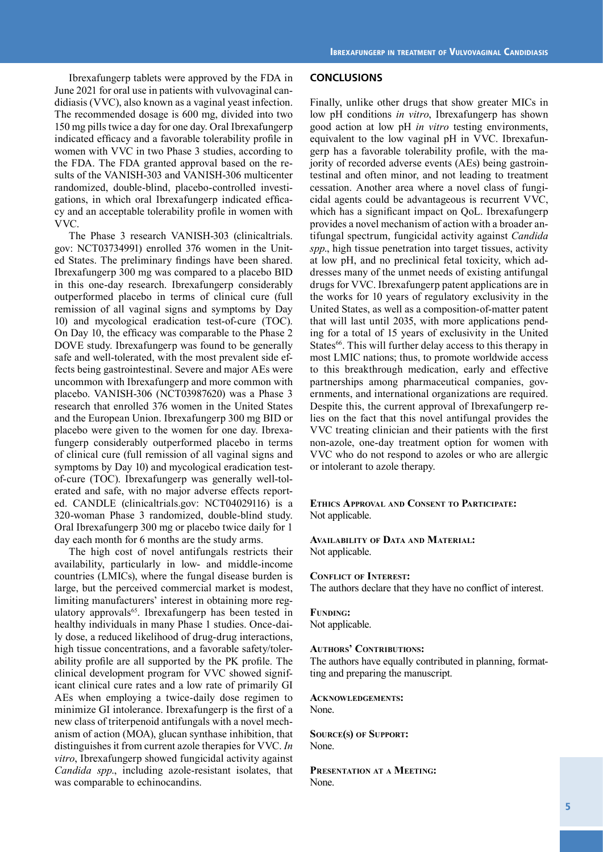Ibrexafungerp tablets were approved by the FDA in June 2021 for oral use in patients with vulvovaginal candidiasis (VVC), also known as a vaginal yeast infection. The recommended dosage is 600 mg, divided into two 150 mg pills twice a day for one day. Oral Ibrexafungerp indicated efficacy and a favorable tolerability profile in women with VVC in two Phase 3 studies, according to the FDA. The FDA granted approval based on the results of the VANISH-303 and VANISH-306 multicenter randomized, double-blind, placebo-controlled investigations, in which oral Ibrexafungerp indicated efficacy and an acceptable tolerability profile in women with VVC.

The Phase 3 research VANISH-303 (clinicaltrials. gov: NCT03734991) enrolled 376 women in the United States. The preliminary findings have been shared. Ibrexafungerp 300 mg was compared to a placebo BID in this one-day research. Ibrexafungerp considerably outperformed placebo in terms of clinical cure (full remission of all vaginal signs and symptoms by Day 10) and mycological eradication test-of-cure (TOC). On Day 10, the efficacy was comparable to the Phase 2 DOVE study. Ibrexafungerp was found to be generally safe and well-tolerated, with the most prevalent side effects being gastrointestinal. Severe and major AEs were uncommon with Ibrexafungerp and more common with placebo. VANISH-306 (NCT03987620) was a Phase 3 research that enrolled 376 women in the United States and the European Union. Ibrexafungerp 300 mg BID or placebo were given to the women for one day. Ibrexafungerp considerably outperformed placebo in terms of clinical cure (full remission of all vaginal signs and symptoms by Day 10) and mycological eradication testof-cure (TOC). Ibrexafungerp was generally well-tolerated and safe, with no major adverse effects reported. CANDLE (clinicaltrials.gov: NCT04029116) is a 320-woman Phase 3 randomized, double-blind study. Oral Ibrexafungerp 300 mg or placebo twice daily for 1 day each month for 6 months are the study arms.

The high cost of novel antifungals restricts their availability, particularly in low- and middle-income countries (LMICs), where the fungal disease burden is large, but the perceived commercial market is modest, limiting manufacturers' interest in obtaining more regulatory approvals<sup>65</sup>. Ibrexafungerp has been tested in healthy individuals in many Phase 1 studies. Once-daily dose, a reduced likelihood of drug-drug interactions, high tissue concentrations, and a favorable safety/tolerability profile are all supported by the PK profile. The clinical development program for VVC showed significant clinical cure rates and a low rate of primarily GI AEs when employing a twice-daily dose regimen to minimize GI intolerance. Ibrexafungerp is the first of a new class of triterpenoid antifungals with a novel mechanism of action (MOA), glucan synthase inhibition, that distinguishes it from current azole therapies for VVC. *In vitro*, Ibrexafungerp showed fungicidal activity against *Candida spp*., including azole-resistant isolates, that was comparable to echinocandins.

#### **CONCLUSIONS**

Finally, unlike other drugs that show greater MICs in low pH conditions *in vitro*, Ibrexafungerp has shown good action at low pH *in vitro* testing environments, equivalent to the low vaginal pH in VVC. Ibrexafungerp has a favorable tolerability profile, with the majority of recorded adverse events (AEs) being gastrointestinal and often minor, and not leading to treatment cessation. Another area where a novel class of fungicidal agents could be advantageous is recurrent VVC, which has a significant impact on QoL. Ibrexafungerp provides a novel mechanism of action with a broader antifungal spectrum, fungicidal activity against *Candida spp*., high tissue penetration into target tissues, activity at low pH, and no preclinical fetal toxicity, which addresses many of the unmet needs of existing antifungal drugs for VVC. Ibrexafungerp patent applications are in the works for 10 years of regulatory exclusivity in the United States, as well as a composition-of-matter patent that will last until 2035, with more applications pending for a total of 15 years of exclusivity in the United States<sup>66</sup>. This will further delay access to this therapy in most LMIC nations; thus, to promote worldwide access to this breakthrough medication, early and effective partnerships among pharmaceutical companies, governments, and international organizations are required. Despite this, the current approval of Ibrexafungerp relies on the fact that this novel antifungal provides the VVC treating clinician and their patients with the first non-azole, one-day treatment option for women with VVC who do not respond to azoles or who are allergic or intolerant to azole therapy.

**Ethics Approval and Consent to Participate:** Not applicable.

**Availability of Data and Material:** Not applicable.

#### **Conflict of Interest:**

The authors declare that they have no conflict of interest.

#### **Funding:** Not applicable.

#### **Authors' Contributions:**

The authors have equally contributed in planning, formatting and preparing the manuscript.

**Acknowledgements:** None.

**Source(s) of Support:** None.

**Presentation at a Meeting:** None.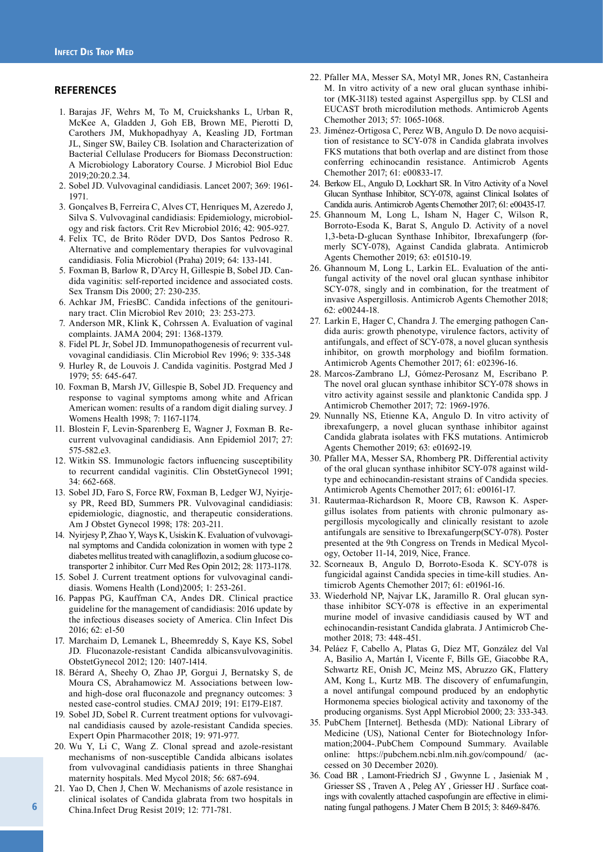#### **REFERENCES**

- 1. Barajas JF, Wehrs M, To M, Cruickshanks L, Urban R, McKee A, Gladden J, Goh EB, Brown ME, Pierotti D, Carothers JM, Mukhopadhyay A, Keasling JD, Fortman JL, Singer SW, Bailey CB. Isolation and Characterization of Bacterial Cellulase Producers for Biomass Deconstruction: A Microbiology Laboratory Course. J Microbiol Biol Educ 2019;20:20.2.34.
- 2. Sobel JD. Vulvovaginal candidiasis. Lancet 2007; 369: 1961- 1971.
- 3. Gonçalves B, Ferreira C, Alves CT, Henriques M, Azeredo J, Silva S. Vulvovaginal candidiasis: Epidemiology, microbiology and risk factors. Crit Rev Microbiol 2016; 42: 905-927.
- 4. Felix TC, de Brito Röder DVD, Dos Santos Pedroso R. Alternative and complementary therapies for vulvovaginal candidiasis. Folia Microbiol (Praha) 2019; 64: 133-141.
- 5. Foxman B, Barlow R, D'Arcy H, Gillespie B, Sobel JD. Candida vaginitis: self-reported incidence and associated costs. Sex Transm Dis 2000; 27: 230-235.
- 6. Achkar JM, FriesBC. Candida infections of the genitourinary tract. Clin Microbiol Rev 2010; 23: 253-273.
- 7. Anderson MR, Klink K, Cohrssen A. Evaluation of vaginal complaints. JAMA 2004; 291: 1368-1379.
- 8. Fidel PL Jr, Sobel JD. Immunopathogenesis of recurrent vulvovaginal candidiasis. Clin Microbiol Rev 1996; 9: 335-348
- 9. Hurley R, de Louvois J. Candida vaginitis. Postgrad Med J 1979; 55: 645-647.
- 10. Foxman B, Marsh JV, Gillespie B, Sobel JD. Frequency and response to vaginal symptoms among white and African American women: results of a random digit dialing survey. J Womens Health 1998; 7: 1167-1174.
- 11. Blostein F, Levin-Sparenberg E, Wagner J, Foxman B. Recurrent vulvovaginal candidiasis. Ann Epidemiol 2017; 27: 575-582.e3.
- 12. Witkin SS. Immunologic factors influencing susceptibility to recurrent candidal vaginitis. Clin ObstetGynecol 1991; 34: 662-668.
- 13. Sobel JD, Faro S, Force RW, Foxman B, Ledger WJ, Nyirjesy PR, Reed BD, Summers PR. Vulvovaginal candidiasis: epidemiologic, diagnostic, and therapeutic considerations. Am J Obstet Gynecol 1998; 178: 203-211.
- 14. Nyirjesy P, Zhao Y, Ways K, Usiskin K. Evaluation of vulvovaginal symptoms and Candida colonization in women with type 2 diabetes mellitus treated with canagliflozin, a sodium glucose cotransporter 2 inhibitor. Curr Med Res Opin 2012; 28: 1173-1178.
- 15. Sobel J. Current treatment options for vulvovaginal candidiasis. Womens Health (Lond)2005; 1: 253-261.
- 16. Pappas PG, Kauffman CA, Andes DR. Clinical practice guideline for the management of candidiasis: 2016 update by the infectious diseases society of America. Clin Infect Dis 2016; 62: e1-50
- 17. Marchaim D, Lemanek L, Bheemreddy S, Kaye KS, Sobel JD. Fluconazole-resistant Candida albicansvulvovaginitis. ObstetGynecol 2012; 120: 1407-1414.
- 18. Bérard A, Sheehy O, Zhao JP, Gorgui J, Bernatsky S, de Moura CS, Abrahamowicz M. Associations between lowand high-dose oral fluconazole and pregnancy outcomes: 3 nested case-control studies. CMAJ 2019; 191: E179-E187.
- 19. Sobel JD, Sobel R. Current treatment options for vulvovaginal candidiasis caused by azole-resistant Candida species. Expert Opin Pharmacother 2018; 19: 971-977.
- 20. Wu Y, Li C, Wang Z. Clonal spread and azole-resistant mechanisms of non-susceptible Candida albicans isolates from vulvovaginal candidiasis patients in three Shanghai maternity hospitals. Med Mycol 2018; 56: 687-694.
- 21. Yao D, Chen J, Chen W. Mechanisms of azole resistance in clinical isolates of Candida glabrata from two hospitals in China.Infect Drug Resist 2019; 12: 771-781.
- 22. Pfaller MA, Messer SA, Motyl MR, Jones RN, Castanheira M. In vitro activity of a new oral glucan synthase inhibitor (MK-3118) tested against Aspergillus spp. by CLSI and EUCAST broth microdilution methods. Antimicrob Agents Chemother 2013; 57: 1065-1068.
- 23. Jiménez-Ortigosa C, Perez WB, Angulo D. De novo acquisition of resistance to SCY-078 in Candida glabrata involves FKS mutations that both overlap and are distinct from those conferring echinocandin resistance. Antimicrob Agents Chemother 2017; 61: e00833-17.
- 24. Berkow EL, Angulo D, Lockhart SR. In Vitro Activity of a Novel Glucan Synthase Inhibitor, SCY-078, against Clinical Isolates of Candida auris. Antimicrob Agents Chemother 2017; 61: e00435-17.
- 25. Ghannoum M, Long L, Isham N, Hager C, Wilson R, Borroto-Esoda K, Barat S, Angulo D. Activity of a novel 1,3-beta-D-glucan Synthase Inhibitor, Ibrexafungerp (formerly SCY-078), Against Candida glabrata. Antimicrob Agents Chemother 2019; 63: e01510-19.
- 26. Ghannoum M, Long L, Larkin EL. Evaluation of the antifungal activity of the novel oral glucan synthase inhibitor SCY-078, singly and in combination, for the treatment of invasive Aspergillosis. Antimicrob Agents Chemother 2018;  $62: e00244-18$
- 27. Larkin E, Hager C, Chandra J. The emerging pathogen Candida auris: growth phenotype, virulence factors, activity of antifungals, and effect of SCY-078, a novel glucan synthesis inhibitor, on growth morphology and biofilm formation. Antimicrob Agents Chemother 2017; 61: e02396-16.
- 28. Marcos-Zambrano LJ, Gómez-Perosanz M, Escribano P. The novel oral glucan synthase inhibitor SCY-078 shows in vitro activity against sessile and planktonic Candida spp. J Antimicrob Chemother 2017; 72: 1969-1976.
- 29. Nunnally NS, Etienne KA, Angulo D. In vitro activity of ibrexafungerp, a novel glucan synthase inhibitor against Candida glabrata isolates with FKS mutations. Antimicrob Agents Chemother 2019; 63: e01692-19.
- 30. Pfaller MA, Messer SA, Rhomberg PR. Differential activity of the oral glucan synthase inhibitor SCY-078 against wildtype and echinocandin-resistant strains of Candida species. Antimicrob Agents Chemother 2017; 61: e00161-17.
- 31. Rautermaa-Richardson R, Moore CB, Rawson K. Aspergillus isolates from patients with chronic pulmonary aspergillosis mycologically and clinically resistant to azole antifungals are sensitive to Ibrexafungerp(SCY-078). Poster presented at the 9th Congress on Trends in Medical Mycology, October 11-14, 2019, Nice, France.
- 32. Scorneaux B, Angulo D, Borroto-Esoda K. SCY-078 is fungicidal against Candida species in time-kill studies. Antimicrob Agents Chemother 2017; 61: e01961-16.
- 33. Wiederhold NP, Najvar LK, Jaramillo R. Oral glucan synthase inhibitor SCY-078 is effective in an experimental murine model of invasive candidiasis caused by WT and echinocandin-resistant Candida glabrata. J Antimicrob Chemother 2018; 73: 448-451.
- 34. Peláez F, Cabello A, Platas G, Díez MT, González del Val A, Basilio A, Martán I, Vicente F, Bills GE, Giacobbe RA, Schwartz RE, Onish JC, Meinz MS, Abruzzo GK, Flattery AM, Kong L, Kurtz MB. The discovery of enfumafungin, a novel antifungal compound produced by an endophytic Hormonema species biological activity and taxonomy of the producing organisms. Syst Appl Microbiol 2000; 23: 333-343.
- 35. PubChem [Internet]. Bethesda (MD): National Library of Medicine (US), National Center for Biotechnology Information;2004-.PubChem Compound Summary. Available online: https://pubchem.ncbi.nlm.nih.gov/compound/ (accessed on 30 December 2020).
- 36. Coad BR , Lamont-Friedrich SJ , Gwynne L , Jasieniak M , Griesser SS , Traven A , Peleg AY , Griesser HJ . Surface coatings with covalently attached caspofungin are effective in eliminating fungal pathogens. J Mater Chem B 2015; 3: 8469-8476.